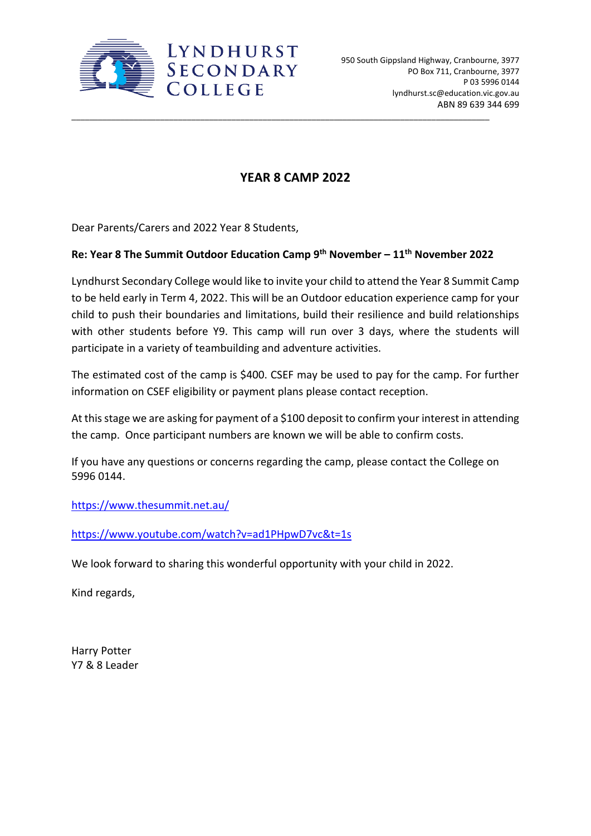

## **YEAR 8 CAMP 2022**

\_\_\_\_\_\_\_\_\_\_\_\_\_\_\_\_\_\_\_\_\_\_\_\_\_\_\_\_\_\_\_\_\_\_\_\_\_\_\_\_\_\_\_\_\_\_\_\_\_\_\_\_\_\_\_\_\_\_\_\_\_\_\_\_\_\_\_\_\_\_\_\_\_\_\_\_\_\_\_\_\_\_\_\_\_\_\_\_\_\_\_\_\_\_

Dear Parents/Carers and 2022 Year 8 Students,

## **Re: Year 8 The Summit Outdoor Education Camp 9th November – 11th November 2022**

Lyndhurst Secondary College would like to invite your child to attend the Year 8 Summit Camp to be held early in Term 4, 2022. This will be an Outdoor education experience camp for your child to push their boundaries and limitations, build their resilience and build relationships with other students before Y9. This camp will run over 3 days, where the students will participate in a variety of teambuilding and adventure activities.

The estimated cost of the camp is \$400. CSEF may be used to pay for the camp. For further information on CSEF eligibility or payment plans please contact reception.

At this stage we are asking for payment of a \$100 deposit to confirm your interest in attending the camp. Once participant numbers are known we will be able to confirm costs.

If you have any questions or concerns regarding the camp, please contact the College on 5996 0144.

<https://www.thesummit.net.au/>

<https://www.youtube.com/watch?v=ad1PHpwD7vc&t=1s>

We look forward to sharing this wonderful opportunity with your child in 2022.

Kind regards,

Harry Potter Y7 & 8 Leader